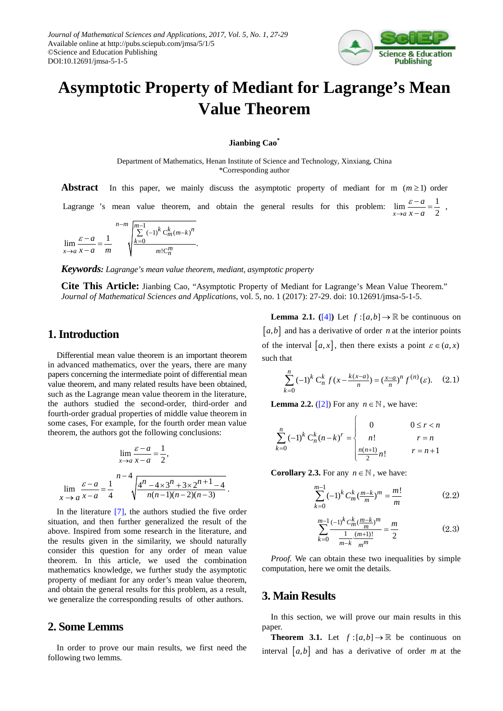

# **Asymptotic Property of Mediant for Lagrange's Mean Value Theorem**

#### **Jianbing Cao\***

Department of Mathematics, Henan Institute of Science and Technology, Xinxiang, China \*Corresponding author

**Abstract** In this paper, we mainly discuss the asymptotic property of mediant for m  $(m \ge 1)$  order *a* ε

Lagrange 's mean value theorem, and obtain the general results for this problem:  $\lim_{x\to a} \frac{\varepsilon - a}{x - a} = \frac{1}{2}$  $x - a$  $\lim_{x \to a} \frac{\varepsilon - a}{x - a} = \frac{1}{2}$ ,

$$
\lim_{x \to a} \frac{\varepsilon - a}{x - a} = \frac{1}{m} \qquad \sqrt{\sum_{k=0}^{m-1} (-1)^k \frac{k}{m} \frac{(m-k)^n}{m! \binom{m}{n}}}.
$$

*Keywords: Lagrange's mean value theorem, mediant, asymptotic property*

**Cite This Article:** Jianbing Cao, "Asymptotic Property of Mediant for Lagrange's Mean Value Theorem." *Journal of Mathematical Sciences and Applications*, vol. 5, no. 1 (2017): 27-29. doi: 10.12691/jmsa-5-1-5.

#### **1. Introduction**

Differential mean value theorem is an important theorem in advanced mathematics, over the years, there are many papers concerning the intermediate point of differential mean value theorem, and many related results have been obtained, such as the Lagrange mean value theorem in the literature, the authors studied the second-order, third-order and fourth-order gradual properties of middle value theorem in some cases, For example, for the fourth order mean value theorem, the authors got the following conclusions:

$$
\lim_{x \to a} \frac{\varepsilon - a}{x - a} = \frac{1}{2},
$$
  

$$
\lim_{x \to a} \frac{\varepsilon - a}{x - a} = \frac{1}{4} \qquad \sqrt{\frac{4^n - 4 \times 3^n + 3 \times 2^{n+1} - 4}{n(n-1)(n-2)(n-3)}}.
$$

In the literature [\[7\],](#page-2-0) the authors studied the five order situation, and then further generalized the result of the above. Inspired from some research in the literature, and the results given in the similarity, we should naturally consider this question for any order of mean value theorem. In this article, we used the combination mathematics knowledge, we further study the asymptotic property of mediant for any order's mean value theorem, and obtain the general results for this problem, as a result, we generalize the corresponding results of other authors.

#### **2. Some Lemms**

In order to prove our main results, we first need the following two lemms.

**Lemma 2.1.** ([\[4\]](#page-2-1)) Let  $f:[a,b] \to \mathbb{R}$  be continuous on  $[a,b]$  and has a derivative of order *n* at the interior points of the interval  $[a, x]$ , then there exists a point  $\varepsilon \in (a, x)$ such that

$$
\sum_{k=0}^{n} (-1)^{k} C_{n}^{k} f(x - \frac{k(x-a)}{n}) = \left(\frac{x-a}{n}\right)^{n} f^{(n)}(\varepsilon). \quad (2.1)
$$

**Lemma 2.2.** [\(\[2\]\)](#page-2-2) For any  $n \in \mathbb{N}$ , we have:

$$
\sum_{k=0}^{n} (-1)^{k} C_{n}^{k} (n-k)^{r} = \begin{cases} 0 & 0 \leq r < n \\ n! & r = n \\ \frac{n(n+1)}{2} n! & r = n+1 \end{cases}
$$

**Corollary 2.3.** For any  $n \in \mathbb{N}$ , we have:

$$
\sum_{k=0}^{m-1} (-1)^k C_m^k \left(\frac{m-k}{m}\right)^m = \frac{m!}{m}
$$
 (2.2)

$$
\sum_{k=0}^{m-1} \frac{(-1)^k C_m^k (\frac{m-k}{m})^m}{\frac{1}{m-k} \cdot \frac{(m+1)!}{m^m}} = \frac{m}{2}
$$
 (2.3)

*Proof.* We can obtain these two inequalities by simple computation, here we omit the details*.*

## **3. Main Results**

In this section, we will prove our main results in this paper.

**Theorem 3.1.** Let  $f:[a,b] \to \mathbb{R}$  be continuous on interval  $[a,b]$  and has a derivative of order  $m$  at the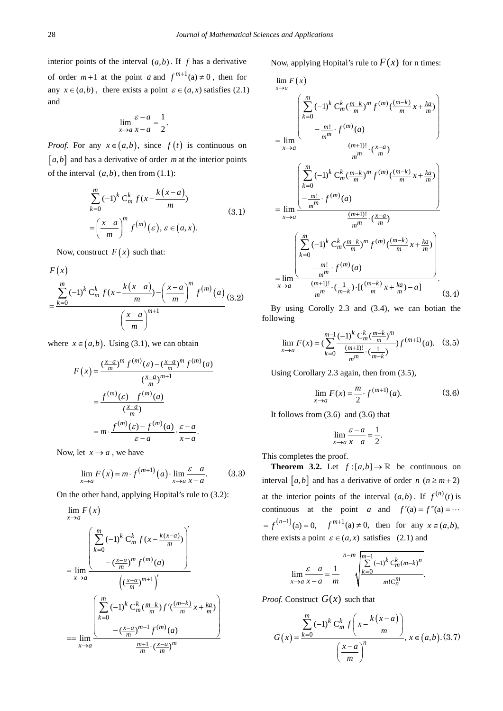interior points of the interval  $(a,b)$ . If *f* has a derivative of order  $m+1$  at the point *a* and  $f^{m+1}(a) \neq 0$ , then for any  $x \in (a,b)$ , there exists a point  $\varepsilon \in (a,x)$  satisfies (2.1) and

$$
\lim_{x \to a} \frac{\varepsilon - a}{x - a} = \frac{1}{2}.
$$

*Proof.* For any  $x \in (a, b)$ , since  $f(t)$  is continuous on  $[a,b]$  and has a derivative of order *m* at the interior points of the interval  $(a,b)$ , then from  $(1.1)$ :

$$
\sum_{k=0}^{m} (-1)^{k} C_{m}^{k} f(x - \frac{k(x-a)}{m})
$$
  
= 
$$
\left(\frac{x-a}{m}\right)^{m} f^{(m)}(\varepsilon), \varepsilon \in (a, x).
$$
 (3.1)

Now, construct  $F(x)$  such that:

$$
F(x)
$$
  
=  $\frac{\sum_{k=0}^{m} (-1)^k C_m^k f(x - \frac{k(x-a)}{m}) - (\frac{x-a}{m})^m f^{(m)}(a)}{(\frac{x-a}{m})^{m+1}}$  (3.2)

where  $x \in (a, b)$ . Using (3.1), we can obtain

$$
F(x) = \frac{\left(\frac{x-a}{m}\right)^m f^{(m)}(\varepsilon) - \left(\frac{x-a}{m}\right)^m f^{(m)}(a)}{\left(\frac{x-a}{m}\right)^{m+1}}
$$

$$
= \frac{f^{(m)}(\varepsilon) - f^{(m)}(a)}{\left(\frac{x-a}{m}\right)}
$$

$$
= m \cdot \frac{f^{(m)}(\varepsilon) - f^{(m)}(a)}{\varepsilon - a} \cdot \frac{\varepsilon - a}{x - a}.
$$

Now, let  $x \rightarrow a$ , we have

$$
\lim_{x \to a} F(x) = m \cdot f^{(m+1)}(a) \cdot \lim_{x \to a} \frac{\varepsilon - a}{x - a}.
$$
 (3.3)

On the other hand, applying Hopital's rule to (3.2):

$$
\lim_{x \to a} F(x)
$$
\n
$$
= \lim_{x \to a} \frac{\left( \sum_{k=0}^{m} (-1)^{k} C_{m}^{k} f(x - \frac{k(x-a)}{m}) \right)}{-(\frac{x-a}{m})^{m} f^{(m)}(a)}
$$
\n
$$
= \lim_{x \to a} \frac{\left( \frac{x-a}{m} \right)^{m+1}}{\left( \frac{x-a}{m} \right)^{m+1} f'(\frac{(m-k)}{m} x + \frac{ka}{m})}
$$
\n
$$
= \lim_{x \to a} \frac{\left( \sum_{k=0}^{m} (-1)^{k} C_{m}^{k} \left( \frac{m-k}{m} \right) f'(\frac{(m-k)}{m} x + \frac{ka}{m} \right)}{\frac{m+1}{m} \cdot \left( \frac{x-a}{m} \right)^{m}}
$$

Now, applying Hopital's rule to  $F(x)$  for n times:

$$
\lim_{x \to a} F(x)
$$
\n
$$
= \lim_{x \to a} \frac{\left(\sum_{k=0}^{m} (-1)^{k} C_{m}^{k} (\frac{m-k}{m})^{m} f^{(m)}(\frac{(m-k)}{m} x + \frac{ka}{m})\right)}{-\frac{m!}{m^{m}} \cdot f^{(m)}(a)}
$$
\n
$$
= \lim_{x \to a} \frac{\left(\sum_{k=0}^{m} (-1)^{k} C_{m}^{k} (\frac{m-k}{m})^{m} f^{(m)}(\frac{(m-k)}{m} x + \frac{ka}{m})\right)}{-\frac{m!}{m^{m}} \cdot f^{(m)}(a)}
$$
\n
$$
= \lim_{x \to a} \frac{\left(\frac{m}{m^{m}} \cdot f^{(m)}(a)\right)}{\frac{(m+1)!}{m^{m}} \cdot (\frac{x-a}{m})}
$$
\n
$$
= \lim_{x \to a} \frac{\left(\sum_{k=0}^{m} (-1)^{k} C_{m}^{k} (\frac{m-k}{m})^{m} f^{(m)}(\frac{(m-k)}{m} x + \frac{ka}{m})\right)}{-\frac{m!}{m^{m}} \cdot f^{(m)}(a)}
$$
\n
$$
= \lim_{x \to a} \frac{\frac{(m+1)!}{m^{m}} \cdot (\frac{1}{m-k}) \cdot [(\frac{(m-k)}{m} x + \frac{ka}{m}) - a]}{(3.4)}
$$

By using Corolly 2.3 and (3.4), we can botian the following

$$
\lim_{x \to a} F(x) = \left(\sum_{k=0}^{m-1} \frac{(-1)^k C_m^k \left(\frac{m-k}{m}\right)^m}{\frac{(m+1)!}{m!} \cdot \left(\frac{1}{m-k}\right)} f^{(m+1)}(a). \quad (3.5)
$$

Using Corollary 2.3 again, then from (3.5),

$$
\lim_{x \to a} F(x) = \frac{m}{2} \cdot f^{(m+1)}(a). \tag{3.6}
$$

It follows from (3.6) and (3.6) that

$$
\lim_{x \to a} \frac{\varepsilon - a}{x - a} = \frac{1}{2}.
$$

This completes the proof.

**Theorem 3.2.** Let  $f:[a,b] \to \mathbb{R}$  be continuous on interval [ $a, b$ ] and has a derivative of order  $n (n \ge m + 2)$ at the interior points of the interval  $(a,b)$ . If  $f^{(n)}(t)$  is continuous at the point *a* and  $f'(a) = f''(a) = \cdots$  $(f^{(n-1)}(a) = 0, \quad f^{(n+1)}(a) \neq 0$ , then for any  $x \in (a, b)$ , there exists a point  $\varepsilon \in (a, x)$  satisfies (2.1) and

$$
\lim_{x \to a} \frac{\varepsilon - a}{x - a} = \frac{1}{m}
$$
\n
$$
\sqrt{\sum_{k=0}^{m-1} (-1)^k \frac{k}{m} \frac{k}{m! C_m^m}}.
$$

*Proof.* Construct  $G(x)$  such that

$$
G(x) = \frac{\sum_{k=0}^{m} (-1)^k C_m^k f\left(x - \frac{k(x-a)}{m}\right)}{\left(\frac{x-a}{m}\right)^n}, x \in (a, b). (3.7)
$$